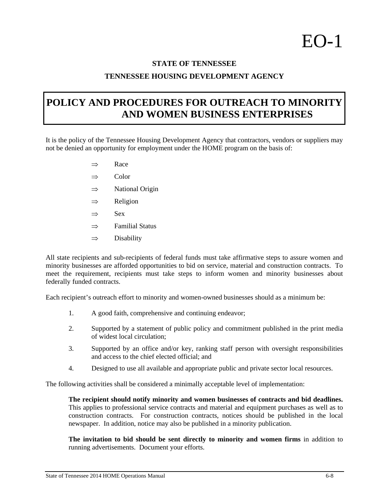## $E$ O-1

## **STATE OF TENNESSEE**

## **TENNESSEE HOUSING DEVELOPMENT AGENCY**

## **POLICY AND PROCEDURES FOR OUTREACH TO MINORITY AND WOMEN BUSINESS ENTERPRISES**

It is the policy of the Tennessee Housing Development Agency that contractors, vendors or suppliers may not be denied an opportunity for employment under the HOME program on the basis of:

- $\Rightarrow$  Race
- $\Rightarrow$  Color
- $\Rightarrow$  National Origin
- $\Rightarrow$  Religion
- $\Rightarrow$  Sex
- $\Rightarrow$  Familial Status
- $\Rightarrow$  Disability

All state recipients and sub-recipients of federal funds must take affirmative steps to assure women and minority businesses are afforded opportunities to bid on service, material and construction contracts. To meet the requirement, recipients must take steps to inform women and minority businesses about federally funded contracts.

Each recipient's outreach effort to minority and women-owned businesses should as a minimum be:

- 1. A good faith, comprehensive and continuing endeavor;
- 2. Supported by a statement of public policy and commitment published in the print media of widest local circulation;
- 3. Supported by an office and/or key, ranking staff person with oversight responsibilities and access to the chief elected official; and
- 4. Designed to use all available and appropriate public and private sector local resources.

The following activities shall be considered a minimally acceptable level of implementation:

**The recipient should notify minority and women businesses of contracts and bid deadlines.** This applies to professional service contracts and material and equipment purchases as well as to construction contracts. For construction contracts, notices should be published in the local newspaper. In addition, notice may also be published in a minority publication.

**The invitation to bid should be sent directly to minority and women firms** in addition to running advertisements. Document your efforts.